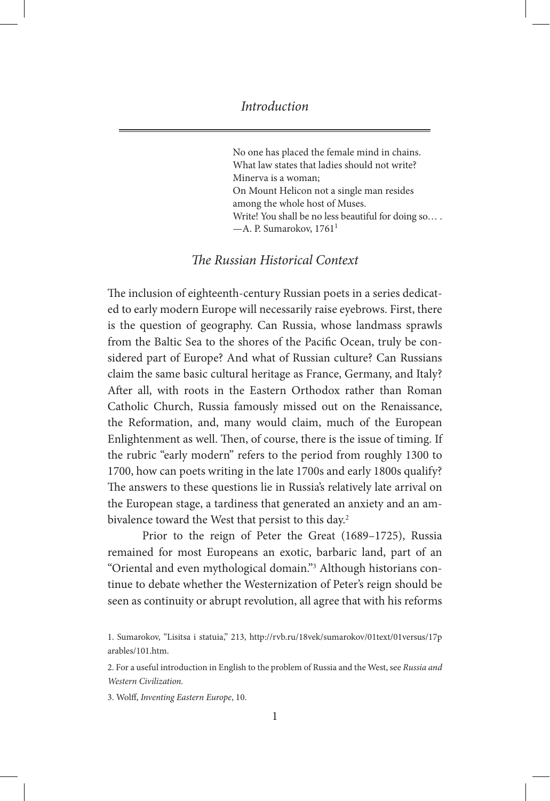No one has placed the female mind in chains. What law states that ladies should not write? Minerva is a woman; On Mount Helicon not a single man resides among the whole host of Muses. Write! You shall be no less beautiful for doing so....  $-A$ . P. Sumarokov, 1761<sup>1</sup>

# *The Russian Historical Context*

The inclusion of eighteenth-century Russian poets in a series dedicated to early modern Europe will necessarily raise eyebrows. First, there is the question of geography. Can Russia, whose landmass sprawls from the Baltic Sea to the shores of the Pacific Ocean, truly be considered part of Europe? And what of Russian culture? Can Russians claim the same basic cultural heritage as France, Germany, and Italy? After all, with roots in the Eastern Orthodox rather than Roman Catholic Church, Russia famously missed out on the Renaissance, the Reformation, and, many would claim, much of the European Enlightenment as well. Then, of course, there is the issue of timing. If the rubric "early modern" refers to the period from roughly 1300 to 1700, how can poets writing in the late 1700s and early 1800s qualify? The answers to these questions lie in Russia's relatively late arrival on the European stage, a tardiness that generated an anxiety and an ambivalence toward the West that persist to this day.<sup>2</sup>

Prior to the reign of Peter the Great (1689–1725), Russia remained for most Europeans an exotic, barbaric land, part of an "Oriental and even mythological domain."3 Although historians continue to debate whether the Westernization of Peter's reign should be seen as continuity or abrupt revolution, all agree that with his reforms

2. For a useful introduction in English to the problem of Russia and the West, see *Russia and Western Civilization.*

3. Wolff, *Inventing Eastern Europe*, 10.

<sup>1.</sup> Sumarokov, "Lisitsa i statuia," 213, http://rvb.ru/18vek/sumarokov/01text/01versus/17p arables/101.htm.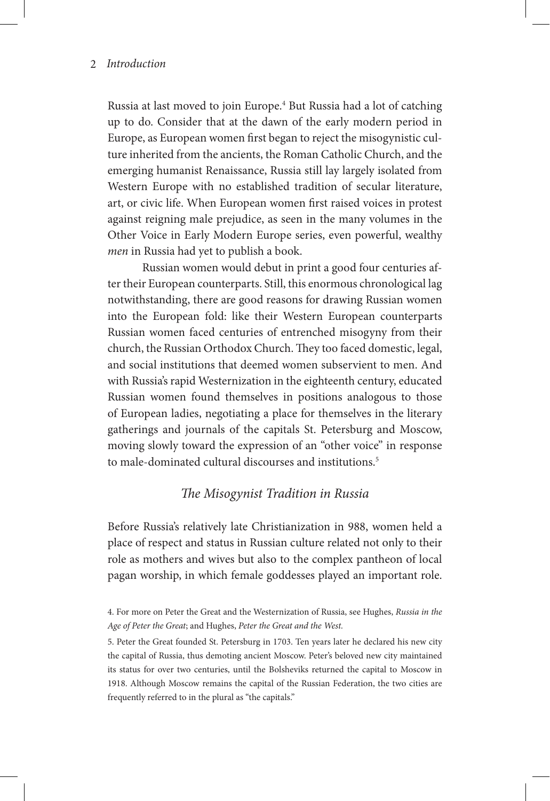Russia at last moved to join Europe.<sup>4</sup> But Russia had a lot of catching up to do. Consider that at the dawn of the early modern period in Europe, as European women first began to reject the misogynistic culture inherited from the ancients, the Roman Catholic Church, and the emerging humanist Renaissance, Russia still lay largely isolated from Western Europe with no established tradition of secular literature, art, or civic life. When European women first raised voices in protest against reigning male prejudice, as seen in the many volumes in the Other Voice in Early Modern Europe series, even powerful, wealthy *men* in Russia had yet to publish a book.

Russian women would debut in print a good four centuries after their European counterparts. Still, this enormous chronological lag notwithstanding, there are good reasons for drawing Russian women into the European fold: like their Western European counterparts Russian women faced centuries of entrenched misogyny from their church, the Russian Orthodox Church. They too faced domestic, legal, and social institutions that deemed women subservient to men. And with Russia's rapid Westernization in the eighteenth century, educated Russian women found themselves in positions analogous to those of European ladies, negotiating a place for themselves in the literary gatherings and journals of the capitals St. Petersburg and Moscow, moving slowly toward the expression of an "other voice" in response to male-dominated cultural discourses and institutions.<sup>5</sup>

## *The Misogynist Tradition in Russia*

Before Russia's relatively late Christianization in 988, women held a place of respect and status in Russian culture related not only to their role as mothers and wives but also to the complex pantheon of local pagan worship, in which female goddesses played an important role.

5. Peter the Great founded St. Petersburg in 1703. Ten years later he declared his new city the capital of Russia, thus demoting ancient Moscow. Peter's beloved new city maintained its status for over two centuries, until the Bolsheviks returned the capital to Moscow in 1918. Although Moscow remains the capital of the Russian Federation, the two cities are frequently referred to in the plural as "the capitals."

<sup>4.</sup> For more on Peter the Great and the Westernization of Russia, see Hughes, *Russia in the Age of Peter the Great*; and Hughes, *Peter the Great and the West.*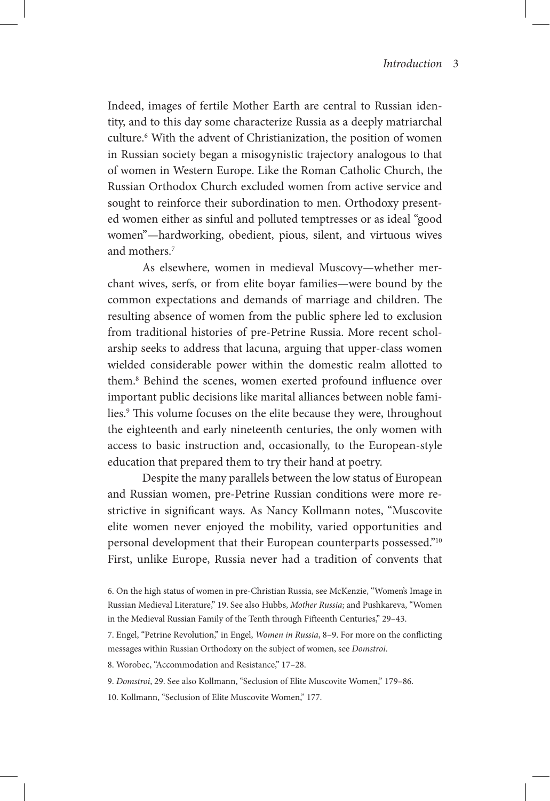Indeed, images of fertile Mother Earth are central to Russian identity, and to this day some characterize Russia as a deeply matriarchal culture.<sup>6</sup> With the advent of Christianization, the position of women in Russian society began a misogynistic trajectory analogous to that of women in Western Europe. Like the Roman Catholic Church, the Russian Orthodox Church excluded women from active service and sought to reinforce their subordination to men. Orthodoxy presented women either as sinful and polluted temptresses or as ideal "good women"—hardworking, obedient, pious, silent, and virtuous wives and mothers.7

As elsewhere, women in medieval Muscovy—whether merchant wives, serfs, or from elite boyar families—were bound by the common expectations and demands of marriage and children. The resulting absence of women from the public sphere led to exclusion from traditional histories of pre-Petrine Russia. More recent scholarship seeks to address that lacuna, arguing that upper-class women wielded considerable power within the domestic realm allotted to them.8 Behind the scenes, women exerted profound influence over important public decisions like marital alliances between noble families.9 This volume focuses on the elite because they were, throughout the eighteenth and early nineteenth centuries, the only women with access to basic instruction and, occasionally, to the European-style education that prepared them to try their hand at poetry.

Despite the many parallels between the low status of European and Russian women, pre-Petrine Russian conditions were more restrictive in significant ways. As Nancy Kollmann notes, "Muscovite elite women never enjoyed the mobility, varied opportunities and personal development that their European counterparts possessed."10 First, unlike Europe, Russia never had a tradition of convents that

8. Worobec, "Accommodation and Resistance," 17–28.

9. *Domstroi*, 29. See also Kollmann, "Seclusion of Elite Muscovite Women," 179–86.

10. Kollmann, "Seclusion of Elite Muscovite Women," 177.

<sup>6.</sup> On the high status of women in pre-Christian Russia, see McKenzie, "Women's Image in Russian Medieval Literature," 19. See also Hubbs, *Mother Russia*; and Pushkareva, "Women in the Medieval Russian Family of the Tenth through Fifteenth Centuries," 29–43.

<sup>7.</sup> Engel, "Petrine Revolution," in Engel, *Women in Russia*, 8–9. For more on the conflicting messages within Russian Orthodoxy on the subject of women, see *Domstroi*.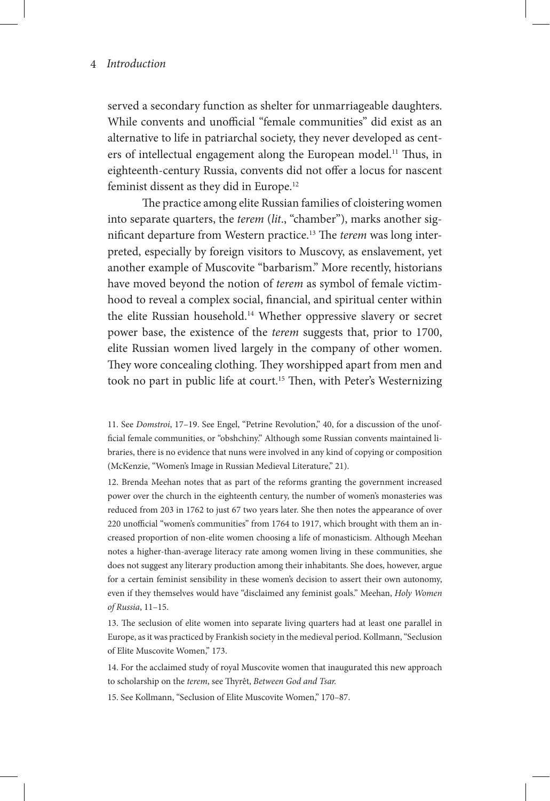served a secondary function as shelter for unmarriageable daughters. While convents and unofficial "female communities" did exist as an alternative to life in patriarchal society, they never developed as centers of intellectual engagement along the European model.<sup>11</sup> Thus, in eighteenth-century Russia, convents did not offer a locus for nascent feminist dissent as they did in Europe.12

The practice among elite Russian families of cloistering women into separate quarters, the *terem* (*lit*., "chamber"), marks another significant departure from Western practice.13 The *terem* was long interpreted, especially by foreign visitors to Muscovy, as enslavement, yet another example of Muscovite "barbarism." More recently, historians have moved beyond the notion of *terem* as symbol of female victimhood to reveal a complex social, financial, and spiritual center within the elite Russian household.14 Whether oppressive slavery or secret power base, the existence of the *terem* suggests that, prior to 1700, elite Russian women lived largely in the company of other women. They wore concealing clothing. They worshipped apart from men and took no part in public life at court.<sup>15</sup> Then, with Peter's Westernizing

11. See *Domstroi*, 17–19. See Engel, "Petrine Revolution," 40, for a discussion of the unofficial female communities, or "obshchiny." Although some Russian convents maintained libraries, there is no evidence that nuns were involved in any kind of copying or composition (McKenzie, "Women's Image in Russian Medieval Literature," 21).

12. Brenda Meehan notes that as part of the reforms granting the government increased power over the church in the eighteenth century, the number of women's monasteries was reduced from 203 in 1762 to just 67 two years later. She then notes the appearance of over 220 unofficial "women's communities" from 1764 to 1917, which brought with them an increased proportion of non-elite women choosing a life of monasticism. Although Meehan notes a higher-than-average literacy rate among women living in these communities, she does not suggest any literary production among their inhabitants. She does, however, argue for a certain feminist sensibility in these women's decision to assert their own autonomy, even if they themselves would have "disclaimed any feminist goals." Meehan, *Holy Women of Russia*, 11–15.

13. The seclusion of elite women into separate living quarters had at least one parallel in Europe, as it was practiced by Frankish society in the medieval period. Kollmann, "Seclusion of Elite Muscovite Women," 173.

14. For the acclaimed study of royal Muscovite women that inaugurated this new approach to scholarship on the *terem*, see Thyrêt, *Between God and Tsar.*

15. See Kollmann, "Seclusion of Elite Muscovite Women," 170–87.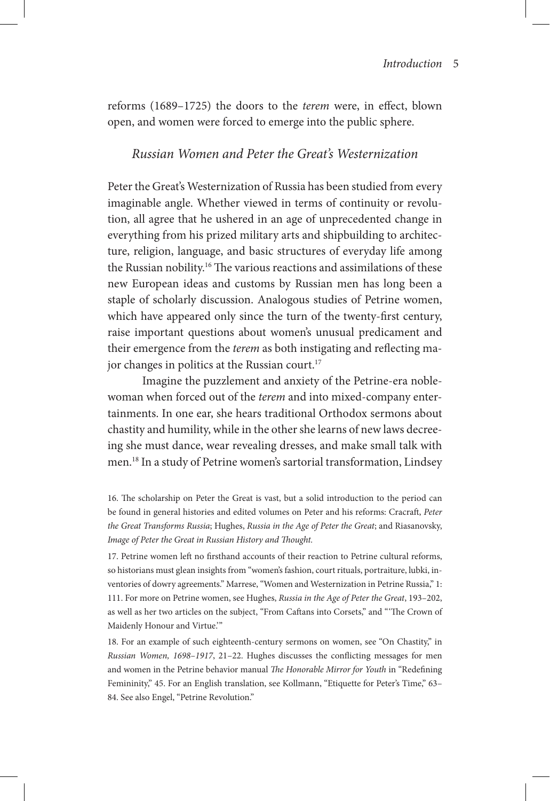reforms (1689–1725) the doors to the *terem* were, in effect, blown open, and women were forced to emerge into the public sphere.

## *Russian Women and Peter the Great's Westernization*

Peter the Great's Westernization of Russia has been studied from every imaginable angle. Whether viewed in terms of continuity or revolution, all agree that he ushered in an age of unprecedented change in everything from his prized military arts and shipbuilding to architecture, religion, language, and basic structures of everyday life among the Russian nobility.<sup>16</sup> The various reactions and assimilations of these new European ideas and customs by Russian men has long been a staple of scholarly discussion. Analogous studies of Petrine women, which have appeared only since the turn of the twenty-first century, raise important questions about women's unusual predicament and their emergence from the *terem* as both instigating and reflecting major changes in politics at the Russian court.<sup>17</sup>

Imagine the puzzlement and anxiety of the Petrine-era noblewoman when forced out of the *terem* and into mixed-company entertainments. In one ear, she hears traditional Orthodox sermons about chastity and humility, while in the other she learns of new laws decreeing she must dance, wear revealing dresses, and make small talk with men.18 In a study of Petrine women's sartorial transformation, Lindsey

16. The scholarship on Peter the Great is vast, but a solid introduction to the period can be found in general histories and edited volumes on Peter and his reforms: Cracraft, *Peter the Great Transforms Russia*; Hughes, *Russia in the Age of Peter the Great*; and Riasanovsky, *Image of Peter the Great in Russian History and Thought.*

17. Petrine women left no firsthand accounts of their reaction to Petrine cultural reforms, so historians must glean insights from "women's fashion, court rituals, portraiture, lubki, inventories of dowry agreements." Marrese, "Women and Westernization in Petrine Russia," 1: 111. For more on Petrine women, see Hughes, *Russia in the Age of Peter the Great*, 193–202, as well as her two articles on the subject, "From Caftans into Corsets," and "'The Crown of Maidenly Honour and Virtue.'"

18. For an example of such eighteenth-century sermons on women, see "On Chastity," in *Russian Women, 1698–1917*, 21–22. Hughes discusses the conflicting messages for men and women in the Petrine behavior manual *The Honorable Mirror for Youth* in "Redefining Femininity," 45. For an English translation, see Kollmann, "Etiquette for Peter's Time," 63– 84. See also Engel, "Petrine Revolution."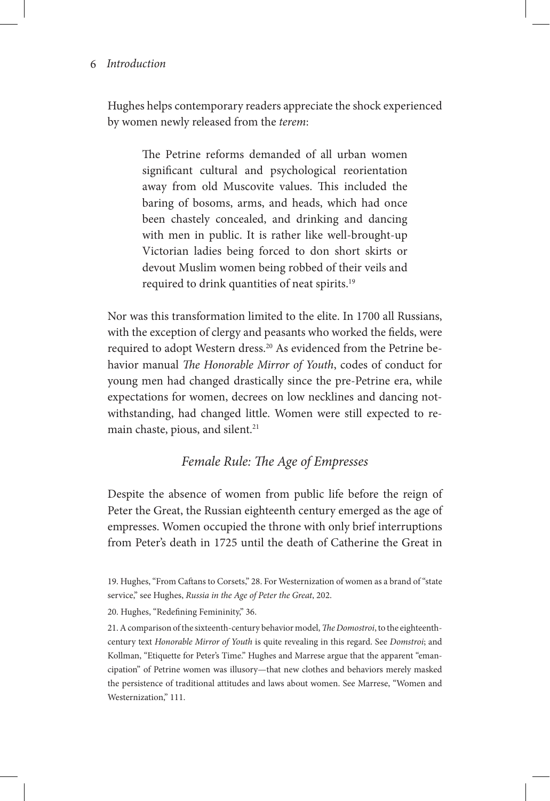Hughes helps contemporary readers appreciate the shock experienced by women newly released from the *terem*:

> The Petrine reforms demanded of all urban women significant cultural and psychological reorientation away from old Muscovite values. This included the baring of bosoms, arms, and heads, which had once been chastely concealed, and drinking and dancing with men in public. It is rather like well-brought-up Victorian ladies being forced to don short skirts or devout Muslim women being robbed of their veils and required to drink quantities of neat spirits.19

Nor was this transformation limited to the elite. In 1700 all Russians, with the exception of clergy and peasants who worked the fields, were required to adopt Western dress.<sup>20</sup> As evidenced from the Petrine behavior manual *The Honorable Mirror of Youth*, codes of conduct for young men had changed drastically since the pre-Petrine era, while expectations for women, decrees on low necklines and dancing notwithstanding, had changed little. Women were still expected to remain chaste, pious, and silent.<sup>21</sup>

## *Female Rule: The Age of Empresses*

Despite the absence of women from public life before the reign of Peter the Great, the Russian eighteenth century emerged as the age of empresses. Women occupied the throne with only brief interruptions from Peter's death in 1725 until the death of Catherine the Great in

20. Hughes, "Redefining Femininity," 36.

21. A comparison of the sixteenth-century behavior model, *The Domostroi*, to the eighteenthcentury text *Honorable Mirror of Youth* is quite revealing in this regard. See *Domstroi*; and Kollman, "Etiquette for Peter's Time." Hughes and Marrese argue that the apparent "emancipation" of Petrine women was illusory—that new clothes and behaviors merely masked the persistence of traditional attitudes and laws about women. See Marrese, "Women and Westernization," 111.

<sup>19.</sup> Hughes, "From Caftans to Corsets," 28. For Westernization of women as a brand of "state service," see Hughes, *Russia in the Age of Peter the Great*, 202.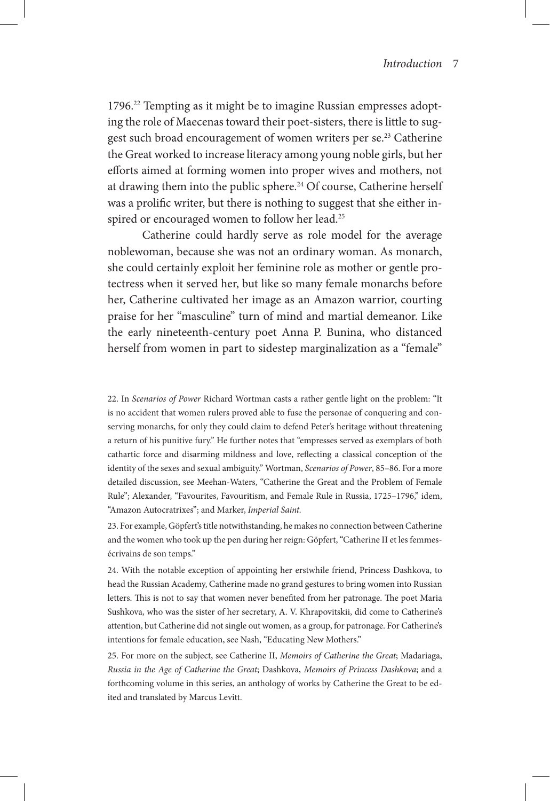1796.<sup>22</sup> Tempting as it might be to imagine Russian empresses adopting the role of Maecenas toward their poet-sisters, there is little to suggest such broad encouragement of women writers per se.<sup>23</sup> Catherine the Great worked to increase literacy among young noble girls, but her efforts aimed at forming women into proper wives and mothers, not at drawing them into the public sphere.<sup>24</sup> Of course, Catherine herself was a prolific writer, but there is nothing to suggest that she either inspired or encouraged women to follow her lead.<sup>25</sup>

Catherine could hardly serve as role model for the average noblewoman, because she was not an ordinary woman. As monarch, she could certainly exploit her feminine role as mother or gentle protectress when it served her, but like so many female monarchs before her, Catherine cultivated her image as an Amazon warrior, courting praise for her "masculine" turn of mind and martial demeanor. Like the early nineteenth-century poet Anna P. Bunina, who distanced herself from women in part to sidestep marginalization as a "female"

22. In *Scenarios of Power* Richard Wortman casts a rather gentle light on the problem: "It is no accident that women rulers proved able to fuse the personae of conquering and conserving monarchs, for only they could claim to defend Peter's heritage without threatening a return of his punitive fury." He further notes that "empresses served as exemplars of both cathartic force and disarming mildness and love, reflecting a classical conception of the identity of the sexes and sexual ambiguity." Wortman, *Scenarios of Power*, 85–86. For a more detailed discussion, see Meehan-Waters, "Catherine the Great and the Problem of Female Rule"; Alexander, "Favourites, Favouritism, and Female Rule in Russia, 1725–1796," idem, "Amazon Autocratrixes"; and Marker, *Imperial Saint.*

23. For example, Göpfert's title notwithstanding, he makes no connection between Catherine and the women who took up the pen during her reign: Göpfert, "Catherine II et les femmesécrivains de son temps."

24. With the notable exception of appointing her erstwhile friend, Princess Dashkova, to head the Russian Academy, Catherine made no grand gestures to bring women into Russian letters. This is not to say that women never benefited from her patronage. The poet Maria Sushkova, who was the sister of her secretary, A. V. Khrapovitskii, did come to Catherine's attention, but Catherine did not single out women, as a group, for patronage. For Catherine's intentions for female education, see Nash, "Educating New Mothers."

25. For more on the subject, see Catherine II, *Memoirs of Catherine the Great*; Madariaga, *Russia in the Age of Catherine the Great*; Dashkova, *Memoirs of Princess Dashkova*; and a forthcoming volume in this series, an anthology of works by Catherine the Great to be edited and translated by Marcus Levitt.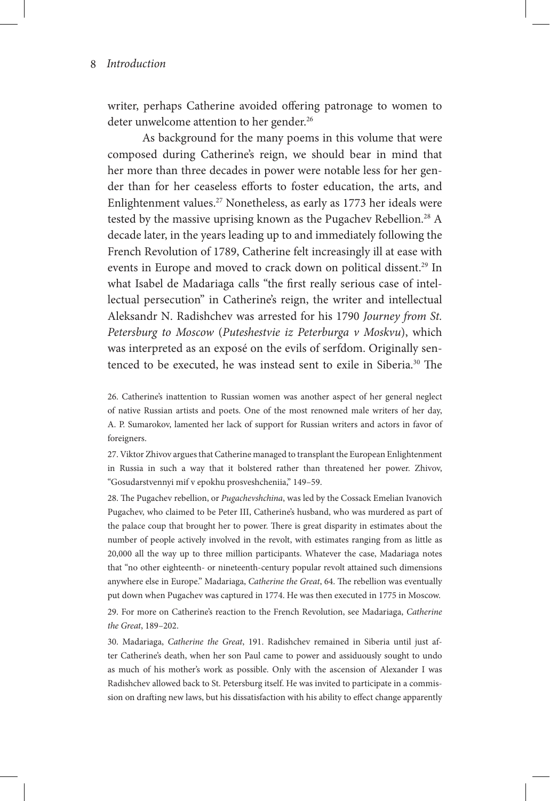writer, perhaps Catherine avoided offering patronage to women to deter unwelcome attention to her gender.<sup>26</sup>

As background for the many poems in this volume that were composed during Catherine's reign, we should bear in mind that her more than three decades in power were notable less for her gender than for her ceaseless efforts to foster education, the arts, and Enlightenment values.27 Nonetheless, as early as 1773 her ideals were tested by the massive uprising known as the Pugachev Rebellion.<sup>28</sup> A decade later, in the years leading up to and immediately following the French Revolution of 1789, Catherine felt increasingly ill at ease with events in Europe and moved to crack down on political dissent.<sup>29</sup> In what Isabel de Madariaga calls "the first really serious case of intellectual persecution" in Catherine's reign, the writer and intellectual Aleksandr N. Radishchev was arrested for his 1790 *Journey from St. Petersburg to Moscow* (*Puteshestvie iz Peterburga v Moskvu*), which was interpreted as an exposé on the evils of serfdom. Originally sentenced to be executed, he was instead sent to exile in Siberia.30 The

26. Catherine's inattention to Russian women was another aspect of her general neglect of native Russian artists and poets. One of the most renowned male writers of her day, A. P. Sumarokov, lamented her lack of support for Russian writers and actors in favor of foreigners.

27. Viktor Zhivov argues that Catherine managed to transplant the European Enlightenment in Russia in such a way that it bolstered rather than threatened her power. Zhivov, "Gosudarstvennyi mif v epokhu prosveshcheniia," 149–59.

28. The Pugachev rebellion, or *Pugachevshchina*, was led by the Cossack Emelian Ivanovich Pugachev, who claimed to be Peter III, Catherine's husband, who was murdered as part of the palace coup that brought her to power. There is great disparity in estimates about the number of people actively involved in the revolt, with estimates ranging from as little as 20,000 all the way up to three million participants. Whatever the case, Madariaga notes that "no other eighteenth- or nineteenth-century popular revolt attained such dimensions anywhere else in Europe." Madariaga, *Catherine the Great*, 64. The rebellion was eventually put down when Pugachev was captured in 1774. He was then executed in 1775 in Moscow.

29. For more on Catherine's reaction to the French Revolution, see Madariaga, *Catherine the Great*, 189–202.

30. Madariaga, *Catherine the Great*, 191. Radishchev remained in Siberia until just after Catherine's death, when her son Paul came to power and assiduously sought to undo as much of his mother's work as possible. Only with the ascension of Alexander I was Radishchev allowed back to St. Petersburg itself. He was invited to participate in a commission on drafting new laws, but his dissatisfaction with his ability to effect change apparently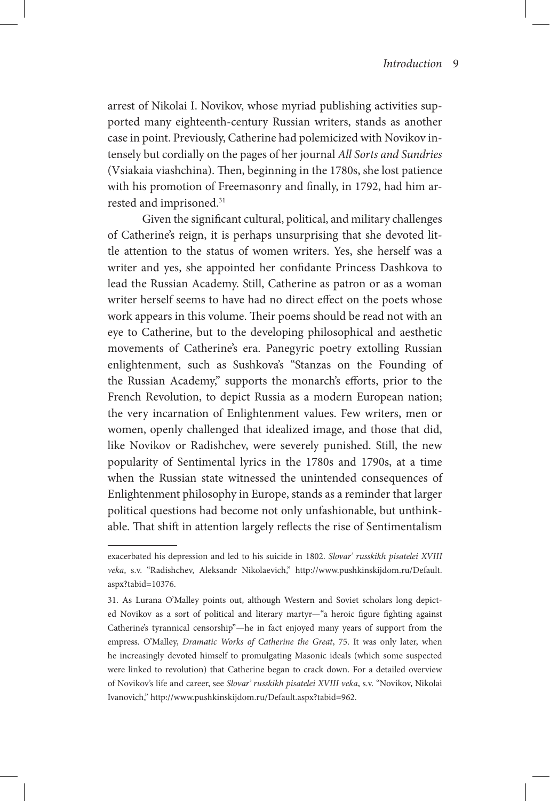arrest of Nikolai I. Novikov, whose myriad publishing activities supported many eighteenth-century Russian writers, stands as another case in point. Previously, Catherine had polemicized with Novikov intensely but cordially on the pages of her journal *All Sorts and Sundries*  (Vsiakaia viashchina). Then, beginning in the 1780s, she lost patience with his promotion of Freemasonry and finally, in 1792, had him arrested and imprisoned.<sup>31</sup>

Given the significant cultural, political, and military challenges of Catherine's reign, it is perhaps unsurprising that she devoted little attention to the status of women writers. Yes, she herself was a writer and yes, she appointed her confidante Princess Dashkova to lead the Russian Academy. Still, Catherine as patron or as a woman writer herself seems to have had no direct effect on the poets whose work appears in this volume. Their poems should be read not with an eye to Catherine, but to the developing philosophical and aesthetic movements of Catherine's era. Panegyric poetry extolling Russian enlightenment, such as Sushkova's "Stanzas on the Founding of the Russian Academy," supports the monarch's efforts, prior to the French Revolution, to depict Russia as a modern European nation; the very incarnation of Enlightenment values. Few writers, men or women, openly challenged that idealized image, and those that did, like Novikov or Radishchev, were severely punished. Still, the new popularity of Sentimental lyrics in the 1780s and 1790s, at a time when the Russian state witnessed the unintended consequences of Enlightenment philosophy in Europe, stands as a reminder that larger political questions had become not only unfashionable, but unthinkable. That shift in attention largely reflects the rise of Sentimentalism

exacerbated his depression and led to his suicide in 1802. *Slovar' russkikh pisatelei XVIII veka*, s.v. "Radishchev, Aleksandr Nikolaevich," http://www.pushkinskijdom.ru/Default. aspx?tabid=10376.

<sup>31.</sup> As Lurana O'Malley points out, although Western and Soviet scholars long depicted Novikov as a sort of political and literary martyr—"a heroic figure fighting against Catherine's tyrannical censorship"—he in fact enjoyed many years of support from the empress. O'Malley, *Dramatic Works of Catherine the Great*, 75. It was only later, when he increasingly devoted himself to promulgating Masonic ideals (which some suspected were linked to revolution) that Catherine began to crack down. For a detailed overview of Novikov's life and career, see *Slovar' russkikh pisatelei XVIII veka*, s.v. "Novikov, Nikolai Ivanovich," http://www.pushkinskijdom.ru/Default.aspx?tabid=962.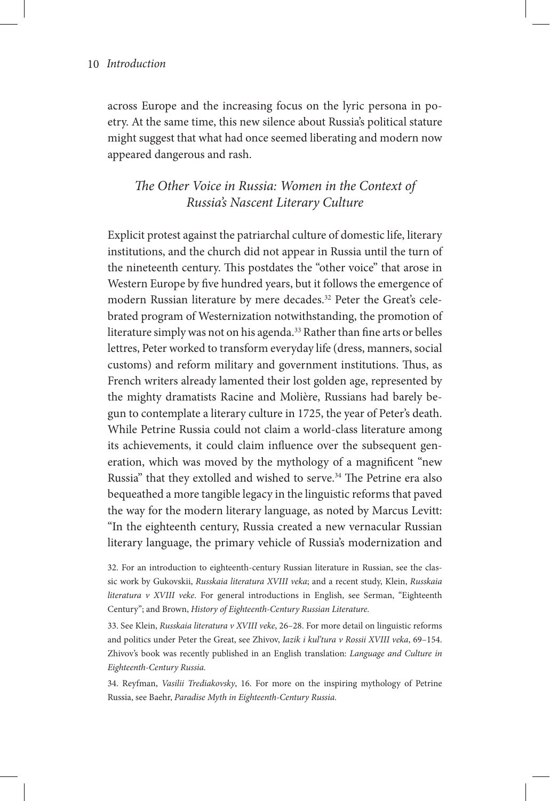across Europe and the increasing focus on the lyric persona in poetry. At the same time, this new silence about Russia's political stature might suggest that what had once seemed liberating and modern now appeared dangerous and rash.

*The Other Voice in Russia: Women in the Context of Russia's Nascent Literary Culture*

Explicit protest against the patriarchal culture of domestic life, literary institutions, and the church did not appear in Russia until the turn of the nineteenth century. This postdates the "other voice" that arose in Western Europe by five hundred years, but it follows the emergence of modern Russian literature by mere decades.32 Peter the Great's celebrated program of Westernization notwithstanding, the promotion of literature simply was not on his agenda.<sup>33</sup> Rather than fine arts or belles lettres, Peter worked to transform everyday life (dress, manners, social customs) and reform military and government institutions. Thus, as French writers already lamented their lost golden age, represented by the mighty dramatists Racine and Molière, Russians had barely begun to contemplate a literary culture in 1725, the year of Peter's death. While Petrine Russia could not claim a world-class literature among its achievements, it could claim influence over the subsequent generation, which was moved by the mythology of a magnificent "new Russia" that they extolled and wished to serve.<sup>34</sup> The Petrine era also bequeathed a more tangible legacy in the linguistic reforms that paved the way for the modern literary language, as noted by Marcus Levitt: "In the eighteenth century, Russia created a new vernacular Russian literary language, the primary vehicle of Russia's modernization and

32. For an introduction to eighteenth-century Russian literature in Russian, see the classic work by Gukovskii, *Russkaia literatura XVIII veka*; and a recent study, Klein, *Russkaia literatura v XVIII veke*. For general introductions in English, see Serman, "Eighteenth Century"; and Brown, *History of Eighteenth-Century Russian Literature.*

33. See Klein, *Russkaia literatura v XVIII veke*, 26–28. For more detail on linguistic reforms and politics under Peter the Great, see Zhivov, *Iazik i kul'tura v Rossii XVIII veka*, 69–154. Zhivov's book was recently published in an English translation: *Language and Culture in Eighteenth-Century Russia.* 

34. Reyfman, *Vasilii Trediakovsky*, 16. For more on the inspiring mythology of Petrine Russia, see Baehr, *Paradise Myth in Eighteenth-Century Russia.*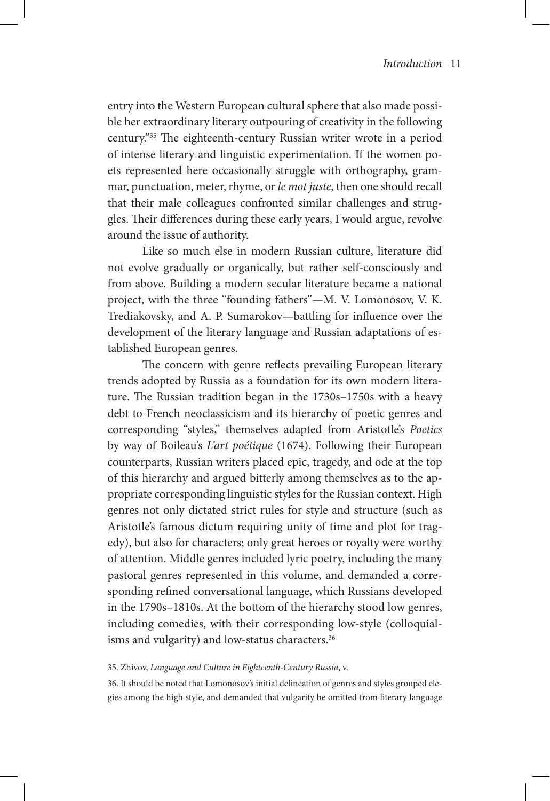entry into the Western European cultural sphere that also made possible her extraordinary literary outpouring of creativity in the following century."35 The eighteenth-century Russian writer wrote in a period of intense literary and linguistic experimentation. If the women poets represented here occasionally struggle with orthography, grammar, punctuation, meter, rhyme, or *le mot juste*, then one should recall that their male colleagues confronted similar challenges and struggles. Their differences during these early years, I would argue, revolve around the issue of authority.

Like so much else in modern Russian culture, literature did not evolve gradually or organically, but rather self-consciously and from above. Building a modern secular literature became a national project, with the three "founding fathers"—M. V. Lomonosov, V. K. Trediakovsky, and A. P. Sumarokov—battling for influence over the development of the literary language and Russian adaptations of established European genres.

The concern with genre reflects prevailing European literary trends adopted by Russia as a foundation for its own modern literature. The Russian tradition began in the 1730s–1750s with a heavy debt to French neoclassicism and its hierarchy of poetic genres and corresponding "styles," themselves adapted from Aristotle's *Poetics* by way of Boileau's *L'art poétique* (1674). Following their European counterparts, Russian writers placed epic, tragedy, and ode at the top of this hierarchy and argued bitterly among themselves as to the appropriate corresponding linguistic styles for the Russian context. High genres not only dictated strict rules for style and structure (such as Aristotle's famous dictum requiring unity of time and plot for tragedy), but also for characters; only great heroes or royalty were worthy of attention. Middle genres included lyric poetry, including the many pastoral genres represented in this volume, and demanded a corresponding refined conversational language, which Russians developed in the 1790s–1810s. At the bottom of the hierarchy stood low genres, including comedies, with their corresponding low-style (colloquialisms and vulgarity) and low-status characters.<sup>36</sup>

#### 35. Zhivov, *Language and Culture in Eighteenth-Century Russia*, v.

36. It should be noted that Lomonosov's initial delineation of genres and styles grouped elegies among the high style, and demanded that vulgarity be omitted from literary language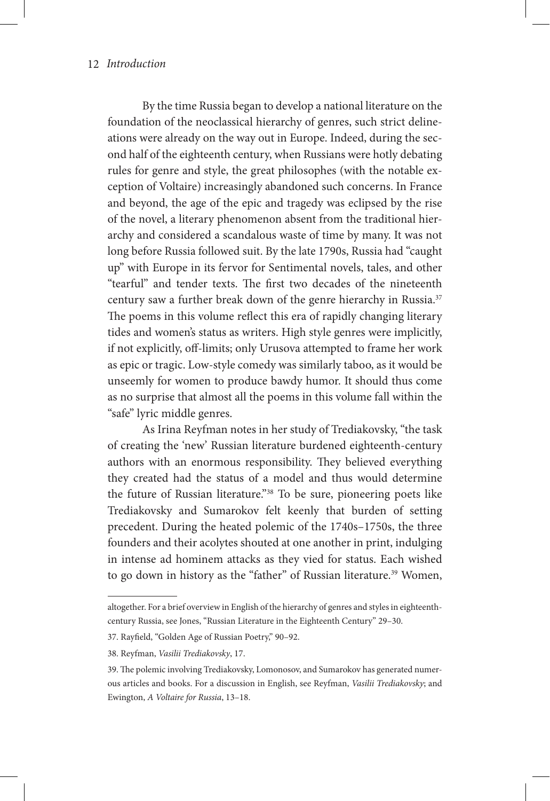By the time Russia began to develop a national literature on the foundation of the neoclassical hierarchy of genres, such strict delineations were already on the way out in Europe. Indeed, during the second half of the eighteenth century, when Russians were hotly debating rules for genre and style, the great philosophes (with the notable exception of Voltaire) increasingly abandoned such concerns. In France and beyond, the age of the epic and tragedy was eclipsed by the rise of the novel, a literary phenomenon absent from the traditional hierarchy and considered a scandalous waste of time by many. It was not long before Russia followed suit. By the late 1790s, Russia had "caught up" with Europe in its fervor for Sentimental novels, tales, and other "tearful" and tender texts. The first two decades of the nineteenth century saw a further break down of the genre hierarchy in Russia.<sup>37</sup> The poems in this volume reflect this era of rapidly changing literary tides and women's status as writers. High style genres were implicitly, if not explicitly, off-limits; only Urusova attempted to frame her work as epic or tragic. Low-style comedy was similarly taboo, as it would be unseemly for women to produce bawdy humor. It should thus come as no surprise that almost all the poems in this volume fall within the "safe" lyric middle genres.

As Irina Reyfman notes in her study of Trediakovsky, "the task of creating the 'new' Russian literature burdened eighteenth-century authors with an enormous responsibility. They believed everything they created had the status of a model and thus would determine the future of Russian literature."38 To be sure, pioneering poets like Trediakovsky and Sumarokov felt keenly that burden of setting precedent. During the heated polemic of the 1740s–1750s, the three founders and their acolytes shouted at one another in print, indulging in intense ad hominem attacks as they vied for status. Each wished to go down in history as the "father" of Russian literature.<sup>39</sup> Women,

altogether. For a brief overview in English of the hierarchy of genres and styles in eighteenthcentury Russia, see Jones, "Russian Literature in the Eighteenth Century" 29–30.

<sup>37.</sup> Rayfield, "Golden Age of Russian Poetry," 90–92.

<sup>38.</sup> Reyfman, *Vasilii Trediakovsky*, 17.

<sup>39.</sup> The polemic involving Trediakovsky, Lomonosov, and Sumarokov has generated numerous articles and books. For a discussion in English, see Reyfman, *Vasilii Trediakovsky*; and Ewington, *A Voltaire for Russia*, 13–18.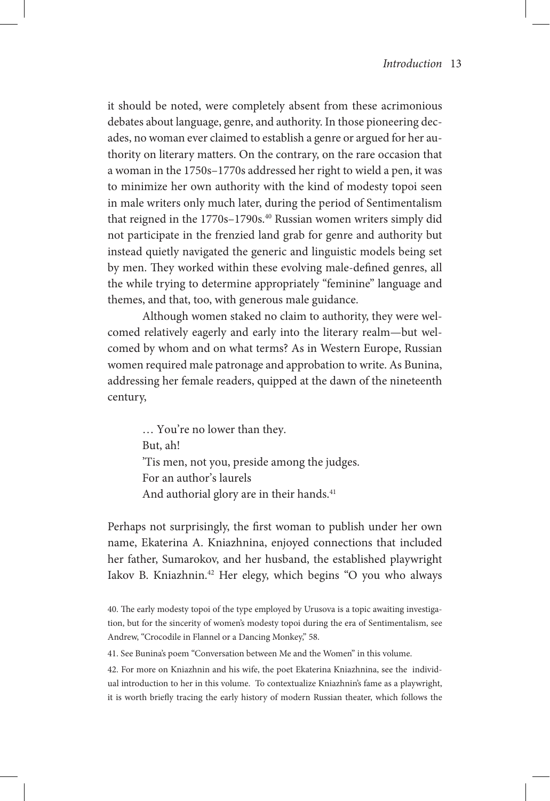it should be noted, were completely absent from these acrimonious debates about language, genre, and authority. In those pioneering decades, no woman ever claimed to establish a genre or argued for her authority on literary matters. On the contrary, on the rare occasion that a woman in the 1750s–1770s addressed her right to wield a pen, it was to minimize her own authority with the kind of modesty topoi seen in male writers only much later, during the period of Sentimentalism that reigned in the 1770s-1790s.<sup>40</sup> Russian women writers simply did not participate in the frenzied land grab for genre and authority but instead quietly navigated the generic and linguistic models being set by men. They worked within these evolving male-defined genres, all the while trying to determine appropriately "feminine" language and themes, and that, too, with generous male guidance.

Although women staked no claim to authority, they were welcomed relatively eagerly and early into the literary realm—but welcomed by whom and on what terms? As in Western Europe, Russian women required male patronage and approbation to write. As Bunina, addressing her female readers, quipped at the dawn of the nineteenth century,

> … You're no lower than they. But, ah! 'Tis men, not you, preside among the judges. For an author's laurels And authorial glory are in their hands.<sup>41</sup>

Perhaps not surprisingly, the first woman to publish under her own name, Ekaterina A. Kniazhnina, enjoyed connections that included her father, Sumarokov, and her husband, the established playwright Iakov B. Kniazhnin.42 Her elegy, which begins "O you who always

41. See Bunina's poem "Conversation between Me and the Women" in this volume.

42. For more on Kniazhnin and his wife, the poet Ekaterina Kniazhnina, see the individual introduction to her in this volume. To contextualize Kniazhnin's fame as a playwright, it is worth briefly tracing the early history of modern Russian theater, which follows the

<sup>40.</sup> The early modesty topoi of the type employed by Urusova is a topic awaiting investigation, but for the sincerity of women's modesty topoi during the era of Sentimentalism, see Andrew, "Crocodile in Flannel or a Dancing Monkey," 58.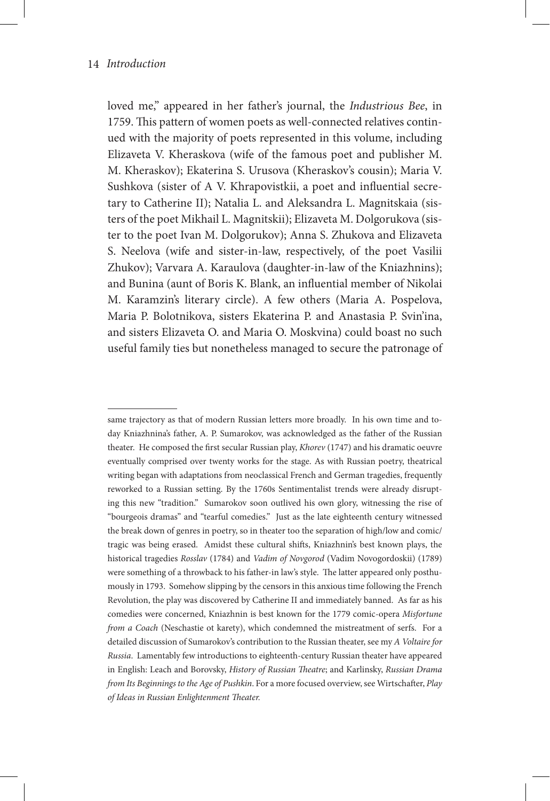loved me," appeared in her father's journal, the *Industrious Bee*, in 1759. This pattern of women poets as well-connected relatives continued with the majority of poets represented in this volume, including Elizaveta V. Kheraskova (wife of the famous poet and publisher M. M. Kheraskov); Ekaterina S. Urusova (Kheraskov's cousin); Maria V. Sushkova (sister of A V. Khrapovistkii, a poet and influential secretary to Catherine II); Natalia L. and Aleksandra L. Magnitskaia (sisters of the poet Mikhail L. Magnitskii); Elizaveta M. Dolgorukova (sister to the poet Ivan M. Dolgorukov); Anna S. Zhukova and Elizaveta S. Neelova (wife and sister-in-law, respectively, of the poet Vasilii Zhukov); Varvara A. Karaulova (daughter-in-law of the Kniazhnins); and Bunina (aunt of Boris K. Blank, an influential member of Nikolai M. Karamzin's literary circle). A few others (Maria A. Pospelova, Maria P. Bolotnikova, sisters Ekaterina P. and Anastasia P. Svin'ina, and sisters Elizaveta O. and Maria O. Moskvina) could boast no such useful family ties but nonetheless managed to secure the patronage of

same trajectory as that of modern Russian letters more broadly. In his own time and today Kniazhnina's father, A. P. Sumarokov, was acknowledged as the father of the Russian theater. He composed the first secular Russian play, *Khorev* (1747) and his dramatic oeuvre eventually comprised over twenty works for the stage. As with Russian poetry, theatrical writing began with adaptations from neoclassical French and German tragedies, frequently reworked to a Russian setting. By the 1760s Sentimentalist trends were already disrupting this new "tradition." Sumarokov soon outlived his own glory, witnessing the rise of "bourgeois dramas" and "tearful comedies." Just as the late eighteenth century witnessed the break down of genres in poetry, so in theater too the separation of high/low and comic/ tragic was being erased. Amidst these cultural shifts, Kniazhnin's best known plays, the historical tragedies *Rosslav* (1784) and *Vadim of Novgorod* (Vadim Novogordoskii) (1789) were something of a throwback to his father-in law's style. The latter appeared only posthumously in 1793. Somehow slipping by the censors in this anxious time following the French Revolution, the play was discovered by Catherine II and immediately banned. As far as his comedies were concerned, Kniazhnin is best known for the 1779 comic-opera *Misfortune from a Coach* (Neschastie ot karety), which condemned the mistreatment of serfs. For a detailed discussion of Sumarokov's contribution to the Russian theater, see my *A Voltaire for Russia*. Lamentably few introductions to eighteenth-century Russian theater have appeared in English: Leach and Borovsky, *History of Russian Theatre*; and Karlinsky, *Russian Drama from Its Beginnings to the Age of Pushkin*. For a more focused overview, see Wirtschafter, *Play of Ideas in Russian Enlightenment Theater.*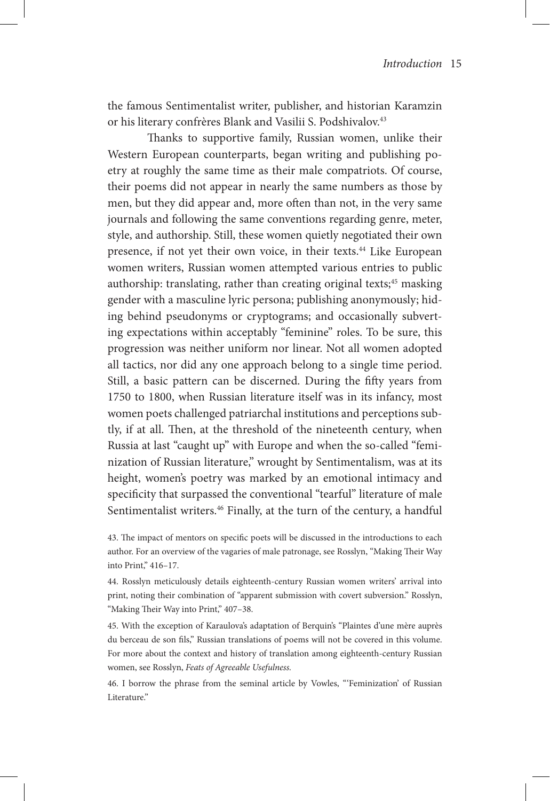the famous Sentimentalist writer, publisher, and historian Karamzin or his literary confrères Blank and Vasilii S. Podshivalov.<sup>43</sup>

 Thanks to supportive family, Russian women, unlike their Western European counterparts, began writing and publishing poetry at roughly the same time as their male compatriots. Of course, their poems did not appear in nearly the same numbers as those by men, but they did appear and, more often than not, in the very same journals and following the same conventions regarding genre, meter, style, and authorship. Still, these women quietly negotiated their own presence, if not yet their own voice, in their texts.<sup>44</sup> Like European women writers, Russian women attempted various entries to public authorship: translating, rather than creating original texts;<sup>45</sup> masking gender with a masculine lyric persona; publishing anonymously; hiding behind pseudonyms or cryptograms; and occasionally subverting expectations within acceptably "feminine" roles. To be sure, this progression was neither uniform nor linear. Not all women adopted all tactics, nor did any one approach belong to a single time period. Still, a basic pattern can be discerned. During the fifty years from 1750 to 1800, when Russian literature itself was in its infancy, most women poets challenged patriarchal institutions and perceptions subtly, if at all. Then, at the threshold of the nineteenth century, when Russia at last "caught up" with Europe and when the so-called "feminization of Russian literature," wrought by Sentimentalism, was at its height, women's poetry was marked by an emotional intimacy and specificity that surpassed the conventional "tearful" literature of male Sentimentalist writers.<sup>46</sup> Finally, at the turn of the century, a handful

43. The impact of mentors on specific poets will be discussed in the introductions to each author. For an overview of the vagaries of male patronage, see Rosslyn, "Making Their Way into Print," 416–17.

44. Rosslyn meticulously details eighteenth-century Russian women writers' arrival into print, noting their combination of "apparent submission with covert subversion." Rosslyn, "Making Their Way into Print," 407–38.

45. With the exception of Karaulova's adaptation of Berquin's "Plaintes d'une mère auprès du berceau de son fils," Russian translations of poems will not be covered in this volume. For more about the context and history of translation among eighteenth-century Russian women, see Rosslyn, *Feats of Agreeable Usefulness.*

46. I borrow the phrase from the seminal article by Vowles, "'Feminization' of Russian Literature."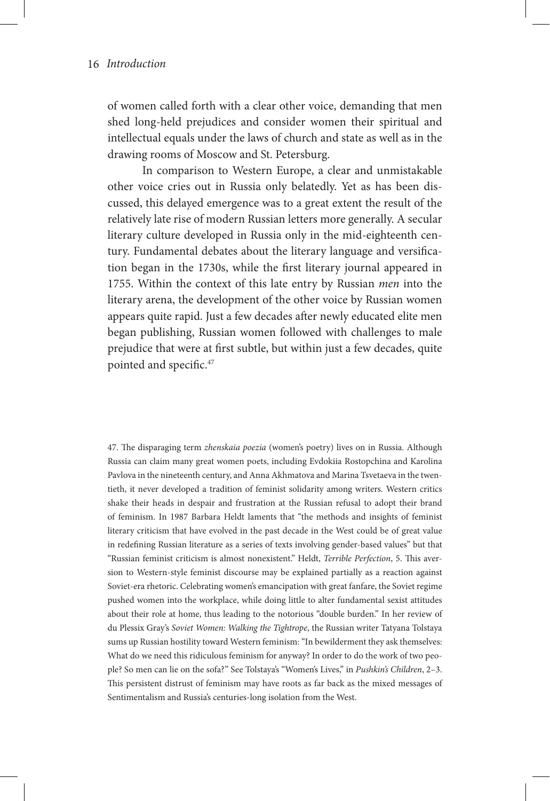of women called forth with a clear other voice, demanding that men shed long-held prejudices and consider women their spiritual and intellectual equals under the laws of church and state as well as in the drawing rooms of Moscow and St. Petersburg.

In comparison to Western Europe, a clear and unmistakable other voice cries out in Russia only belatedly. Yet as has been discussed, this delayed emergence was to a great extent the result of the relatively late rise of modern Russian letters more generally. A secular literary culture developed in Russia only in the mid-eighteenth century. Fundamental debates about the literary language and versification began in the 1730s, while the first literary journal appeared in 1755. Within the context of this late entry by Russian *men* into the literary arena, the development of the other voice by Russian women appears quite rapid. Just a few decades after newly educated elite men began publishing, Russian women followed with challenges to male prejudice that were at first subtle, but within just a few decades, quite pointed and specific.47

47. The disparaging term *zhenskaia poezia* (women's poetry) lives on in Russia. Although Russia can claim many great women poets, including Evdokiia Rostopchina and Karolina Pavlova in the nineteenth century, and Anna Akhmatova and Marina Tsvetaeva in the twentieth, it never developed a tradition of feminist solidarity among writers. Western critics shake their heads in despair and frustration at the Russian refusal to adopt their brand of feminism. In 1987 Barbara Heldt laments that "the methods and insights of feminist literary criticism that have evolved in the past decade in the West could be of great value in redefining Russian literature as a series of texts involving gender-based values" but that "Russian feminist criticism is almost nonexistent." Heldt, *Terrible Perfection*, 5. This aversion to Western-style feminist discourse may be explained partially as a reaction against Soviet-era rhetoric. Celebrating women's emancipation with great fanfare, the Soviet regime pushed women into the workplace, while doing little to alter fundamental sexist attitudes about their role at home, thus leading to the notorious "double burden." In her review of du Plessix Gray's *Soviet Women: Walking the Tightrope*, the Russian writer Tatyana Tolstaya sums up Russian hostility toward Western feminism: "In bewilderment they ask themselves: What do we need this ridiculous feminism for anyway? In order to do the work of two people? So men can lie on the sofa?" See Tolstaya's "Women's Lives," in *Pushkin's Children*, 2–3. This persistent distrust of feminism may have roots as far back as the mixed messages of Sentimentalism and Russia's centuries-long isolation from the West.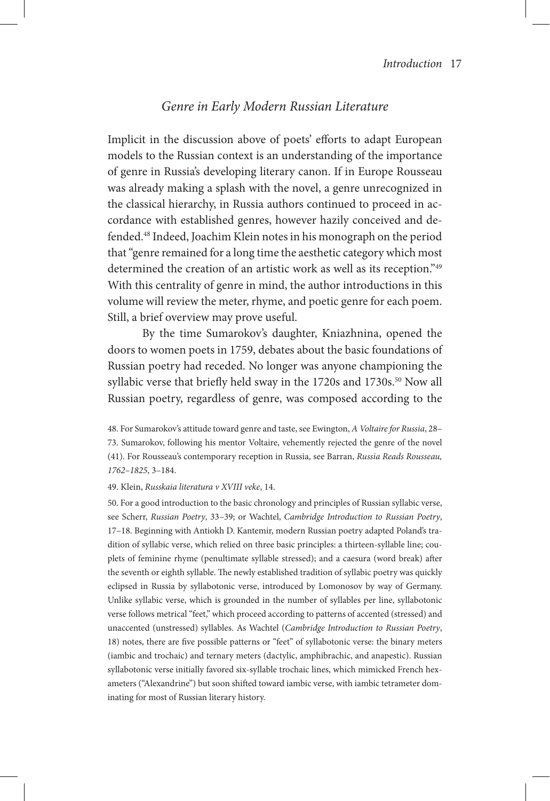## *Genre in Early Modern Russian Literature*

Implicit in the discussion above of poets' efforts to adapt European models to the Russian context is an understanding of the importance of genre in Russia's developing literary canon. If in Europe Rousseau was already making a splash with the novel, a genre unrecognized in the classical hierarchy, in Russia authors continued to proceed in accordance with established genres, however hazily conceived and defended.48 Indeed, Joachim Klein notes in his monograph on the period that "genre remained for a long time the aesthetic category which most determined the creation of an artistic work as well as its reception."49 With this centrality of genre in mind, the author introductions in this volume will review the meter, rhyme, and poetic genre for each poem. Still, a brief overview may prove useful.

By the time Sumarokov's daughter, Kniazhnina, opened the doors to women poets in 1759, debates about the basic foundations of Russian poetry had receded. No longer was anyone championing the syllabic verse that briefly held sway in the 1720s and 1730s.<sup>50</sup> Now all Russian poetry, regardless of genre, was composed according to the

48. For Sumarokov's attitude toward genre and taste, see Ewington, *A Voltaire for Russia*, 28– 73. Sumarokov, following his mentor Voltaire, vehemently rejected the genre of the novel (41). For Rousseau's contemporary reception in Russia, see Barran, *Russia Reads Rousseau, 1762–1825*, 3–184.

#### 49. Klein, *Russkaia literatura v XVIII veke*, 14.

50. For a good introduction to the basic chronology and principles of Russian syllabic verse, see Scherr, *Russian Poetry*, 33–39; or Wachtel, *Cambridge Introduction to Russian Poetry*, 17–18. Beginning with Antiokh D. Kantemir, modern Russian poetry adapted Poland's tradition of syllabic verse, which relied on three basic principles: a thirteen-syllable line; couplets of feminine rhyme (penultimate syllable stressed); and a caesura (word break) after the seventh or eighth syllable. The newly established tradition of syllabic poetry was quickly eclipsed in Russia by syllabotonic verse, introduced by Lomonosov by way of Germany. Unlike syllabic verse, which is grounded in the number of syllables per line, syllabotonic verse follows metrical "feet," which proceed according to patterns of accented (stressed) and unaccented (unstressed) syllables. As Wachtel (*Cambridge Introduction to Russian Poetry*, 18) notes, there are five possible patterns or "feet" of syllabotonic verse: the binary meters (iambic and trochaic) and ternary meters (dactylic, amphibrachic, and anapestic). Russian syllabotonic verse initially favored six-syllable trochaic lines, which mimicked French hexameters ("Alexandrine") but soon shifted toward iambic verse, with iambic tetrameter dominating for most of Russian literary history.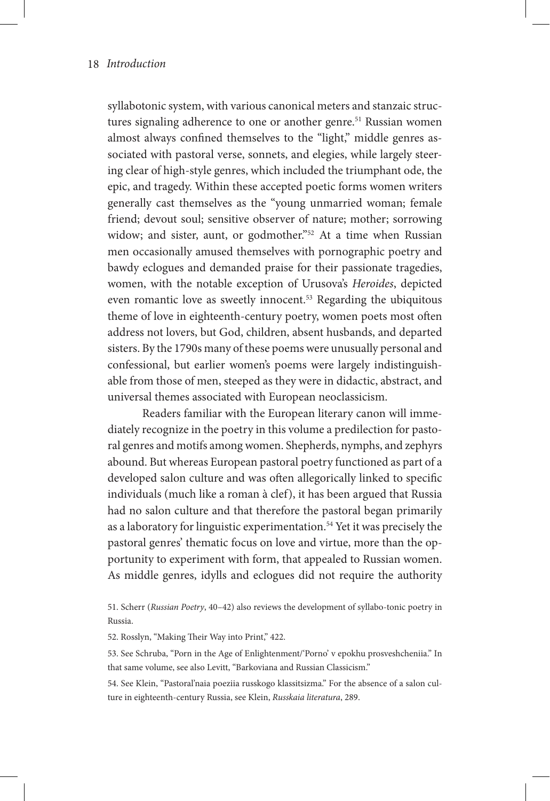syllabotonic system, with various canonical meters and stanzaic structures signaling adherence to one or another genre.<sup>51</sup> Russian women almost always confined themselves to the "light," middle genres associated with pastoral verse, sonnets, and elegies, while largely steering clear of high-style genres, which included the triumphant ode, the epic, and tragedy. Within these accepted poetic forms women writers generally cast themselves as the "young unmarried woman; female friend; devout soul; sensitive observer of nature; mother; sorrowing widow; and sister, aunt, or godmother."<sup>52</sup> At a time when Russian men occasionally amused themselves with pornographic poetry and bawdy eclogues and demanded praise for their passionate tragedies, women, with the notable exception of Urusova's *Heroides*, depicted even romantic love as sweetly innocent.<sup>53</sup> Regarding the ubiquitous theme of love in eighteenth-century poetry, women poets most often address not lovers, but God, children, absent husbands, and departed sisters. By the 1790s many of these poems were unusually personal and confessional, but earlier women's poems were largely indistinguishable from those of men, steeped as they were in didactic, abstract, and universal themes associated with European neoclassicism.

Readers familiar with the European literary canon will immediately recognize in the poetry in this volume a predilection for pastoral genres and motifs among women. Shepherds, nymphs, and zephyrs abound. But whereas European pastoral poetry functioned as part of a developed salon culture and was often allegorically linked to specific individuals (much like a roman à clef), it has been argued that Russia had no salon culture and that therefore the pastoral began primarily as a laboratory for linguistic experimentation.54 Yet it was precisely the pastoral genres' thematic focus on love and virtue, more than the opportunity to experiment with form, that appealed to Russian women. As middle genres, idylls and eclogues did not require the authority

51. Scherr (*Russian Poetry*, 40–42) also reviews the development of syllabo-tonic poetry in Russia.

52. Rosslyn, "Making Their Way into Print," 422.

53. See Schruba, "Porn in the Age of Enlightenment/'Porno' v epokhu prosveshcheniia." In that same volume, see also Levitt, "Barkoviana and Russian Classicism."

54. See Klein, "Pastoral'naia poeziia russkogo klassitsizma." For the absence of a salon culture in eighteenth-century Russia, see Klein, *Russkaia literatura*, 289.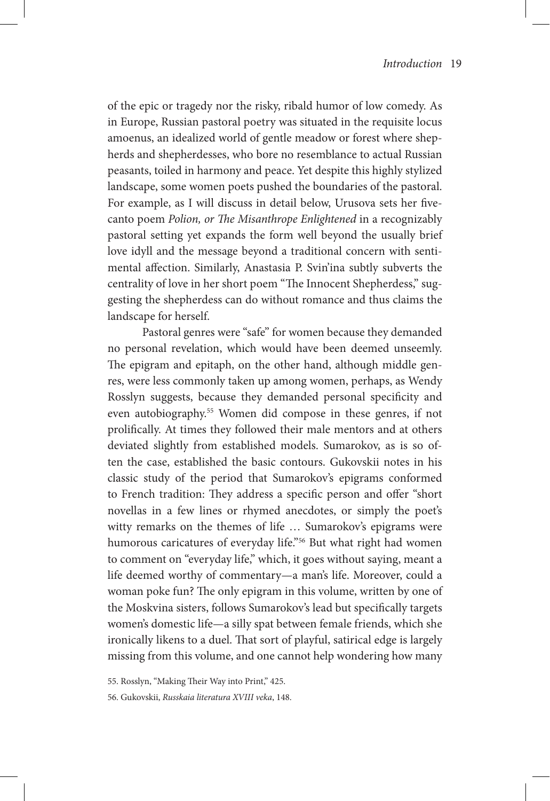of the epic or tragedy nor the risky, ribald humor of low comedy. As in Europe, Russian pastoral poetry was situated in the requisite locus amoenus, an idealized world of gentle meadow or forest where shepherds and shepherdesses, who bore no resemblance to actual Russian peasants, toiled in harmony and peace. Yet despite this highly stylized landscape, some women poets pushed the boundaries of the pastoral. For example, as I will discuss in detail below, Urusova sets her fivecanto poem *Polion, or The Misanthrope Enlightened* in a recognizably pastoral setting yet expands the form well beyond the usually brief love idyll and the message beyond a traditional concern with sentimental affection. Similarly, Anastasia P. Svin'ina subtly subverts the centrality of love in her short poem "The Innocent Shepherdess," suggesting the shepherdess can do without romance and thus claims the landscape for herself.

Pastoral genres were "safe" for women because they demanded no personal revelation, which would have been deemed unseemly. The epigram and epitaph, on the other hand, although middle genres, were less commonly taken up among women, perhaps, as Wendy Rosslyn suggests, because they demanded personal specificity and even autobiography.55 Women did compose in these genres, if not prolifically. At times they followed their male mentors and at others deviated slightly from established models. Sumarokov, as is so often the case, established the basic contours. Gukovskii notes in his classic study of the period that Sumarokov's epigrams conformed to French tradition: They address a specific person and offer "short novellas in a few lines or rhymed anecdotes, or simply the poet's witty remarks on the themes of life ... Sumarokov's epigrams were humorous caricatures of everyday life."<sup>56</sup> But what right had women to comment on "everyday life," which, it goes without saying, meant a life deemed worthy of commentary—a man's life. Moreover, could a woman poke fun? The only epigram in this volume, written by one of the Moskvina sisters, follows Sumarokov's lead but specifically targets women's domestic life—a silly spat between female friends, which she ironically likens to a duel. That sort of playful, satirical edge is largely missing from this volume, and one cannot help wondering how many

55. Rosslyn, "Making Their Way into Print," 425.

56. Gukovskii, *Russkaia literatura XVIII veka*, 148.